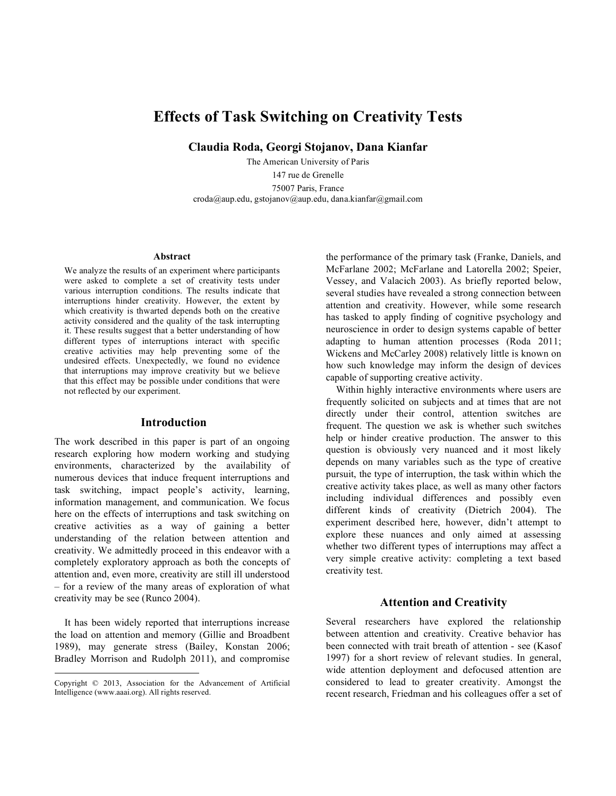# **Effects of Task Switching on Creativity Tests**

**Claudia Roda, Georgi Stojanov, Dana Kianfar**

The American University of Paris 147 rue de Grenelle 75007 Paris, France croda@aup.edu, gstojanov@aup.edu, dana.kianfar@gmail.com

#### **Abstract**

We analyze the results of an experiment where participants were asked to complete a set of creativity tests under various interruption conditions. The results indicate that interruptions hinder creativity. However, the extent by which creativity is thwarted depends both on the creative activity considered and the quality of the task interrupting it. These results suggest that a better understanding of how different types of interruptions interact with specific creative activities may help preventing some of the undesired effects. Unexpectedly, we found no evidence that interruptions may improve creativity but we believe that this effect may be possible under conditions that were not reflected by our experiment.

## **Introduction**

The work described in this paper is part of an ongoing research exploring how modern working and studying environments, characterized by the availability of numerous devices that induce frequent interruptions and task switching, impact people's activity, learning, information management, and communication. We focus here on the effects of interruptions and task switching on creative activities as a way of gaining a better understanding of the relation between attention and creativity. We admittedly proceed in this endeavor with a completely exploratory approach as both the concepts of attention and, even more, creativity are still ill understood – for a review of the many areas of exploration of what creativity may be see (Runco 2004).

It has been widely reported that interruptions increase the load on attention and memory (Gillie and Broadbent 1989), may generate stress (Bailey, Konstan 2006; Bradley Morrison and Rudolph 2011), and compromise the performance of the primary task (Franke, Daniels, and McFarlane 2002; McFarlane and Latorella 2002; Speier, Vessey, and Valacich 2003). As briefly reported below, several studies have revealed a strong connection between attention and creativity. However, while some research has tasked to apply finding of cognitive psychology and neuroscience in order to design systems capable of better adapting to human attention processes (Roda 2011; Wickens and McCarley 2008) relatively little is known on how such knowledge may inform the design of devices capable of supporting creative activity.

Within highly interactive environments where users are frequently solicited on subjects and at times that are not directly under their control, attention switches are frequent. The question we ask is whether such switches help or hinder creative production. The answer to this question is obviously very nuanced and it most likely depends on many variables such as the type of creative pursuit, the type of interruption, the task within which the creative activity takes place, as well as many other factors including individual differences and possibly even different kinds of creativity (Dietrich 2004). The experiment described here, however, didn't attempt to explore these nuances and only aimed at assessing whether two different types of interruptions may affect a very simple creative activity: completing a text based creativity test.

## **Attention and Creativity**

Several researchers have explored the relationship between attention and creativity. Creative behavior has been connected with trait breath of attention - see (Kasof 1997) for a short review of relevant studies. In general, wide attention deployment and defocused attention are considered to lead to greater creativity. Amongst the recent research, Friedman and his colleagues offer a set of

Copyright © 2013, Association for the Advancement of Artificial Intelligence (www.aaai.org). All rights reserved.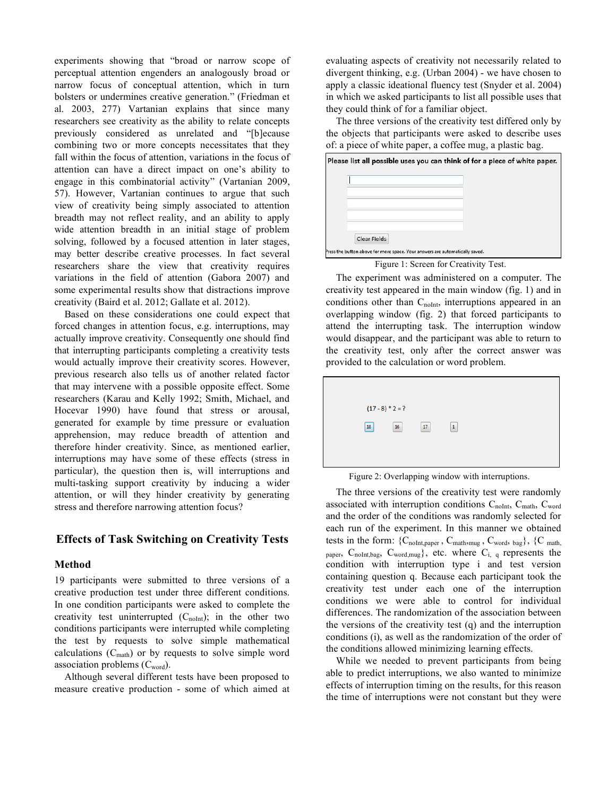experiments showing that "broad or narrow scope of perceptual attention engenders an analogously broad or narrow focus of conceptual attention, which in turn bolsters or undermines creative generation." (Friedman et al. 2003, 277) Vartanian explains that since many researchers see creativity as the ability to relate concepts previously considered as unrelated and "[b]ecause combining two or more concepts necessitates that they fall within the focus of attention, variations in the focus of attention can have a direct impact on one's ability to engage in this combinatorial activity" (Vartanian 2009, 57). However, Vartanian continues to argue that such view of creativity being simply associated to attention breadth may not reflect reality, and an ability to apply wide attention breadth in an initial stage of problem solving, followed by a focused attention in later stages, may better describe creative processes. In fact several researchers share the view that creativity requires variations in the field of attention (Gabora 2007) and some experimental results show that distractions improve creativity (Baird et al. 2012; Gallate et al. 2012).

Based on these considerations one could expect that forced changes in attention focus, e.g. interruptions, may actually improve creativity. Consequently one should find that interrupting participants completing a creativity tests would actually improve their creativity scores. However, previous research also tells us of another related factor that may intervene with a possible opposite effect. Some researchers (Karau and Kelly 1992; Smith, Michael, and Hocevar 1990) have found that stress or arousal, generated for example by time pressure or evaluation apprehension, may reduce breadth of attention and therefore hinder creativity. Since, as mentioned earlier, interruptions may have some of these effects (stress in particular), the question then is, will interruptions and multi-tasking support creativity by inducing a wider attention, or will they hinder creativity by generating stress and therefore narrowing attention focus?

## **Effects of Task Switching on Creativity Tests**

#### **Method**

19 participants were submitted to three versions of a creative production test under three different conditions. In one condition participants were asked to complete the creativity test uninterrupted  $(C_{noInt})$ ; in the other two conditions participants were interrupted while completing the test by requests to solve simple mathematical calculations  $(C_{\text{math}})$  or by requests to solve simple word association problems (C<sub>word</sub>).

Although several different tests have been proposed to measure creative production - some of which aimed at evaluating aspects of creativity not necessarily related to divergent thinking, e.g. (Urban 2004) - we have chosen to apply a classic ideational fluency test (Snyder et al. 2004) in which we asked participants to list all possible uses that they could think of for a familiar object.

The three versions of the creativity test differed only by the objects that participants were asked to describe uses of: a piece of white paper, a coffee mug, a plastic bag.



Figure 1: Screen for Creativity Test.

The experiment was administered on a computer. The creativity test appeared in the main window (fig. 1) and in conditions other than  $C_{noInt}$ , interruptions appeared in an overlapping window (fig. 2) that forced participants to attend the interrupting task. The interruption window would disappear, and the participant was able to return to the creativity test, only after the correct answer was provided to the calculation or word problem.



Figure 2: Overlapping window with interruptions.

The three versions of the creativity test were randomly associated with interruption conditions  $C_{\text{noInt}}$ ,  $C_{\text{match}}$ ,  $C_{\text{word}}$ and the order of the conditions was randomly selected for each run of the experiment. In this manner we obtained tests in the form:  $\{C_{noInt,paper}, C_{math, wave}, C_{word, bag}\}, \{C_{math, math, max}}$ paper,  $C_{noInt,bag}$ ,  $C_{word,mug}$ , etc. where  $C_{i, q}$  represents the condition with interruption type i and test version containing question q. Because each participant took the creativity test under each one of the interruption conditions we were able to control for individual differences. The randomization of the association between the versions of the creativity test (q) and the interruption conditions (i), as well as the randomization of the order of the conditions allowed minimizing learning effects.

While we needed to prevent participants from being able to predict interruptions, we also wanted to minimize effects of interruption timing on the results, for this reason the time of interruptions were not constant but they were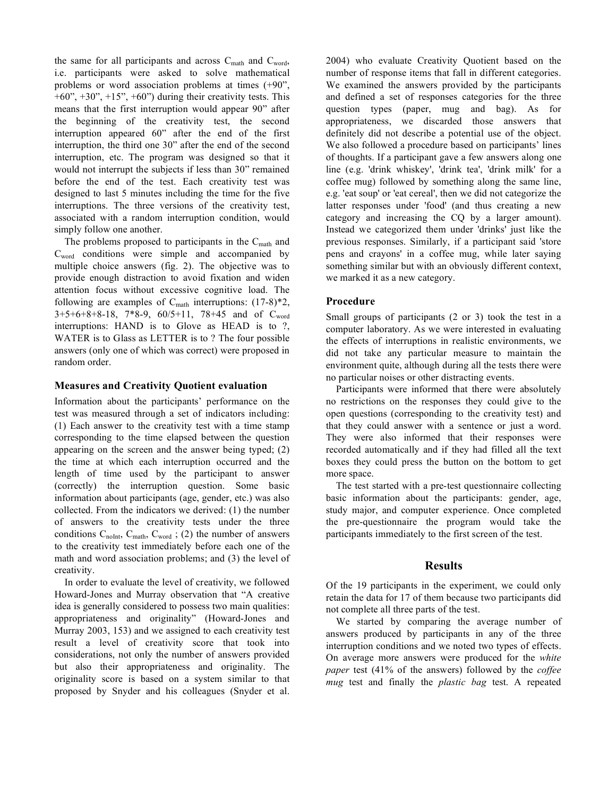the same for all participants and across  $C_{\text{math}}$  and  $C_{\text{word}}$ , i.e. participants were asked to solve mathematical problems or word association problems at times (+90",  $+60$ ",  $+30$ ",  $+15$ ",  $+60$ ") during their creativity tests. This means that the first interruption would appear 90" after the beginning of the creativity test, the second interruption appeared 60" after the end of the first interruption, the third one 30" after the end of the second interruption, etc. The program was designed so that it would not interrupt the subjects if less than 30" remained before the end of the test. Each creativity test was designed to last 5 minutes including the time for the five interruptions. The three versions of the creativity test, associated with a random interruption condition, would simply follow one another.

The problems proposed to participants in the C<sub>math</sub> and Cword conditions were simple and accompanied by multiple choice answers (fig. 2). The objective was to provide enough distraction to avoid fixation and widen attention focus without excessive cognitive load. The following are examples of  $C_{\text{math}}$  interruptions:  $(17-8)*2$ , 3+5+6+8+8-18, 7\*8-9, 60/5+11, 78+45 and of Cword interruptions: HAND is to Glove as HEAD is to ?, WATER is to Glass as LETTER is to ? The four possible answers (only one of which was correct) were proposed in random order.

## **Measures and Creativity Quotient evaluation**

Information about the participants' performance on the test was measured through a set of indicators including: (1) Each answer to the creativity test with a time stamp corresponding to the time elapsed between the question appearing on the screen and the answer being typed; (2) the time at which each interruption occurred and the length of time used by the participant to answer (correctly) the interruption question. Some basic information about participants (age, gender, etc.) was also collected. From the indicators we derived: (1) the number of answers to the creativity tests under the three conditions  $C_{noInt}$ ,  $C_{math}$ ,  $C_{word}$ ; (2) the number of answers to the creativity test immediately before each one of the math and word association problems; and (3) the level of creativity.

In order to evaluate the level of creativity, we followed Howard-Jones and Murray observation that "A creative idea is generally considered to possess two main qualities: appropriateness and originality" (Howard-Jones and Murray 2003, 153) and we assigned to each creativity test result a level of creativity score that took into considerations, not only the number of answers provided but also their appropriateness and originality. The originality score is based on a system similar to that proposed by Snyder and his colleagues (Snyder et al. 2004) who evaluate Creativity Quotient based on the number of response items that fall in different categories. We examined the answers provided by the participants and defined a set of responses categories for the three question types (paper, mug and bag). As for appropriateness, we discarded those answers that definitely did not describe a potential use of the object. We also followed a procedure based on participants' lines of thoughts. If a participant gave a few answers along one line (e.g. 'drink whiskey', 'drink tea', 'drink milk' for a coffee mug) followed by something along the same line, e.g. 'eat soup' or 'eat cereal', then we did not categorize the latter responses under 'food' (and thus creating a new category and increasing the CQ by a larger amount). Instead we categorized them under 'drinks' just like the previous responses. Similarly, if a participant said 'store pens and crayons' in a coffee mug, while later saying something similar but with an obviously different context, we marked it as a new category.

## **Procedure**

Small groups of participants (2 or 3) took the test in a computer laboratory. As we were interested in evaluating the effects of interruptions in realistic environments, we did not take any particular measure to maintain the environment quite, although during all the tests there were no particular noises or other distracting events.

Participants were informed that there were absolutely no restrictions on the responses they could give to the open questions (corresponding to the creativity test) and that they could answer with a sentence or just a word. They were also informed that their responses were recorded automatically and if they had filled all the text boxes they could press the button on the bottom to get more space.

The test started with a pre-test questionnaire collecting basic information about the participants: gender, age, study major, and computer experience. Once completed the pre-questionnaire the program would take the participants immediately to the first screen of the test.

## **Results**

Of the 19 participants in the experiment, we could only retain the data for 17 of them because two participants did not complete all three parts of the test.

We started by comparing the average number of answers produced by participants in any of the three interruption conditions and we noted two types of effects. On average more answers were produced for the *white paper* test (41% of the answers) followed by the *coffee mug* test and finally the *plastic bag* test. A repeated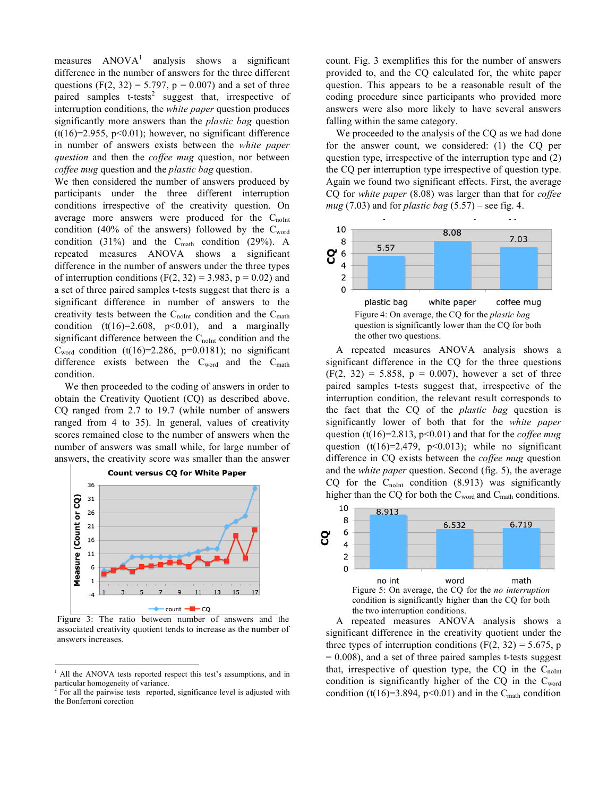measures  $ANOVA<sup>1</sup>$  analysis shows a significant difference in the number of answers for the three different questions (F(2, 32) = 5.797,  $p = 0.007$ ) and a set of three paired samples  $t$ -tests<sup>2</sup> suggest that, irrespective of interruption conditions, the *white paper* question produces significantly more answers than the *plastic bag* question  $(t(16)=2.955, p<0.01)$ ; however, no significant difference in number of answers exists between the *white paper question* and then the *coffee mug* question, nor between *coffee mug* question and the *plastic bag* question.

We then considered the number of answers produced by participants under the three different interruption conditions irrespective of the creativity question. On average more answers were produced for the  $C_{noInt}$ condition (40% of the answers) followed by the  $C<sub>word</sub>$ condition (31%) and the  $C_{\text{math}}$  condition (29%). A repeated measures ANOVA shows a significant difference in the number of answers under the three types of interruption conditions  $(F(2, 32) = 3.983, p = 0.02)$  and a set of three paired samples t-tests suggest that there is a significant difference in number of answers to the creativity tests between the  $C_{noInt}$  condition and the  $C_{math}$ condition  $(t(16)=2.608, p<0.01)$ , and a marginally significant difference between the  $C_{noInt}$  condition and the  $C<sub>word</sub>$  condition (t(16)=2.286, p=0.0181); no significant difference exists between the  $C_{word}$  and the  $C_{match}$ condition.

We then proceeded to the coding of answers in order to obtain the Creativity Quotient (CQ) as described above. CQ ranged from 2.7 to 19.7 (while number of answers ranged from 4 to 35). In general, values of creativity scores remained close to the number of answers when the number of answers was small while, for large number of answers, the creativity score was smaller than the answer



**Count versus CQ for White Paper** 

Figure 3: The ratio between number of answers and the associated creativity quotient tends to increase as the number of answers increases.

count. Fig. 3 exemplifies this for the number of answers provided to, and the CQ calculated for, the white paper question. This appears to be a reasonable result of the coding procedure since participants who provided more answers were also more likely to have several answers falling within the same category.

We proceeded to the analysis of the CQ as we had done for the answer count, we considered: (1) the CQ per question type, irrespective of the interruption type and (2) the CQ per interruption type irrespective of question type. Again we found two significant effects. First, the average CQ for *white paper* (8.08) was larger than that for *coffee mug* (7.03) and for *plastic bag* (5.57) – see fig. 4.



A repeated measures ANOVA analysis shows a significant difference in the CQ for the three questions  $(F(2, 32) = 5.858, p = 0.007)$ , however a set of three paired samples t-tests suggest that, irrespective of the interruption condition, the relevant result corresponds to the fact that the CQ of the *plastic bag* question is significantly lower of both that for the *white paper* question (t(16)=2.813, p<0.01) and that for the *coffee mug* question (t(16)=2.479,  $p<0.013$ ); while no significant difference in CQ exists between the *coffee mug* question and the *white paper* question. Second (fig. 5), the average CQ for the  $C_{noInt}$  condition (8.913) was significantly higher than the CQ for both the  $C_{word}$  and  $C_{match}$  conditions.



A repeated measures ANOVA analysis shows a significant difference in the creativity quotient under the three types of interruption conditions (F(2, 32) = 5.675, p  $= 0.008$ ), and a set of three paired samples t-tests suggest that, irrespective of question type, the  $CQ$  in the  $C_{noInt}$ condition is significantly higher of the  $CQ$  in the  $C<sub>word</sub>$ condition (t(16)=3.894, p<0.01) and in the C<sub>math</sub> condition

 $\frac{1}{1}$  All the ANOVA tests reported respect this test's assumptions, and in particular homogeneity of variance.

For all the pairwise tests reported, significance level is adjusted with the Bonferroni corection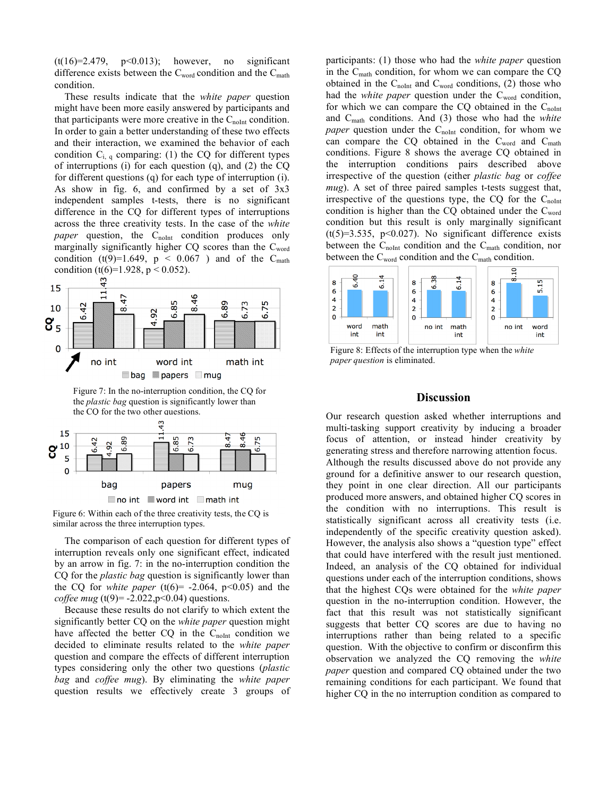(t(16)=2.479, p<0.013); however, no significant difference exists between the  $C_{word}$  condition and the  $C_{match}$ condition.

These results indicate that the *white paper* question might have been more easily answered by participants and that participants were more creative in the  $C_{noInt}$  condition. In order to gain a better understanding of these two effects and their interaction, we examined the behavior of each condition  $C_{i,q}$  comparing: (1) the CQ for different types of interruptions (i) for each question (q), and (2) the CQ for different questions (q) for each type of interruption (i). As show in fig. 6, and confirmed by a set of  $3x3$ independent samples t-tests, there is no significant difference in the CQ for different types of interruptions across the three creativity tests. In the case of the *white paper* question, the  $C_{\text{noInt}}$  condition produces only marginally significantly higher CQ scores than the Cword condition (t(9)=1.649,  $p \le 0.067$ ) and of the C<sub>math</sub> condition (t(6)=1.928,  $p < 0.052$ ).



Figure 7: In the no-interruption condition, the CQ for the *plastic bag* question is significantly lower than the CO for the two other questions.



Figure 6: Within each of the three creativity tests, the CQ is similar across the three interruption types.

The comparison of each question for different types of interruption reveals only one significant effect, indicated by an arrow in fig. 7: in the no-interruption condition the CQ for the *plastic bag* question is significantly lower than the CQ for *white paper* (t(6)=  $-2.064$ , p<0.05) and the *coffee mug* (t(9)= -2.022,p<0.04) questions.

Because these results do not clarify to which extent the significantly better CQ on the *white paper* question might have affected the better  $CQ$  in the  $C_{noInt}$  condition we decided to eliminate results related to the *white paper*  question and compare the effects of different interruption types considering only the other two questions (*plastic bag* and *coffee mug*). By eliminating the *white paper* question results we effectively create 3 groups of

participants: (1) those who had the *white paper* question in the Cmath condition, for whom we can compare the CQ obtained in the  $C_{\text{noInt}}$  and  $C_{\text{word}}$  conditions, (2) those who had the *white paper* question under the  $C<sub>word</sub>$  condition, for which we can compare the  $CQ$  obtained in the  $C_{noInt}$ and Cmath conditions. And (3) those who had the *white paper* question under the  $C_{\text{noInt}}$  condition, for whom we can compare the CQ obtained in the  $C_{word}$  and  $C_{match}$ conditions. Figure 8 shows the average CQ obtained in the interruption conditions pairs described above irrespective of the question (either *plastic bag* or *coffee mug*). A set of three paired samples t-tests suggest that, irrespective of the questions type, the CQ for the  $C_{noInt}$ condition is higher than the CQ obtained under the Cword condition but this result is only marginally significant  $(t(5)=3.535, p<0.027)$ . No significant difference exists between the  $C_{\text{noInt}}$  condition and the  $C_{\text{math}}$  condition, nor between the  $C_{word}$  condition and the  $C_{match}$  condition.



Figure 8: Effects of the interruption type when the *white paper question* is eliminated.

# **Discussion**

Our research question asked whether interruptions and multi-tasking support creativity by inducing a broader focus of attention, or instead hinder creativity by generating stress and therefore narrowing attention focus. Although the results discussed above do not provide any ground for a definitive answer to our research question, they point in one clear direction. All our participants produced more answers, and obtained higher CQ scores in the condition with no interruptions. This result is statistically significant across all creativity tests (i.e. independently of the specific creativity question asked). However, the analysis also shows a "question type" effect that could have interfered with the result just mentioned. Indeed, an analysis of the CQ obtained for individual questions under each of the interruption conditions, shows that the highest CQs were obtained for the *white paper* question in the no-interruption condition. However, the fact that this result was not statistically significant suggests that better CQ scores are due to having no interruptions rather than being related to a specific question. With the objective to confirm or disconfirm this observation we analyzed the CQ removing the *white paper* question and compared CQ obtained under the two remaining conditions for each participant. We found that higher CQ in the no interruption condition as compared to